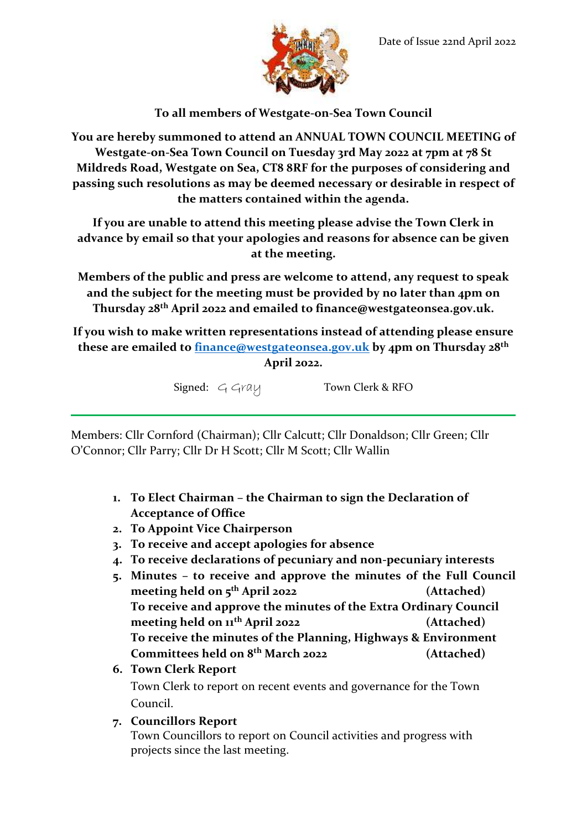

**To all members of Westgate-on-Sea Town Council**

**You are hereby summoned to attend an ANNUAL TOWN COUNCIL MEETING of Westgate-on-Sea Town Council on Tuesday 3rd May 2022 at 7pm at 78 St Mildreds Road, Westgate on Sea, CT8 8RF for the purposes of considering and passing such resolutions as may be deemed necessary or desirable in respect of the matters contained within the agenda.**

**If you are unable to attend this meeting please advise the Town Clerk in advance by email so that your apologies and reasons for absence can be given at the meeting.**

**Members of the public and press are welcome to attend, any request to speak and the subject for the meeting must be provided by no later than 4pm on Thursday 28th April 2022 and emailed to finance@westgateonsea.gov.uk.**

**If you wish to make written representations instead of attending please ensure these are emailed to [finance@westgateonsea.gov.uk](mailto:finance@westgateonsea.gov.uk) by 4pm on Thursday 28th April 2022.**

Signed: G Gray Town Clerk & RFO

Members: Cllr Cornford (Chairman); Cllr Calcutt; Cllr Donaldson; Cllr Green; Cllr O'Connor; Cllr Parry; Cllr Dr H Scott; Cllr M Scott; Cllr Wallin

- **1. To Elect Chairman – the Chairman to sign the Declaration of Acceptance of Office**
- **2. To Appoint Vice Chairperson**
- **3. To receive and accept apologies for absence**
- **4. To receive declarations of pecuniary and non-pecuniary interests**
- **5. Minutes – to receive and approve the minutes of the Full Council meeting held on 5 th April 2022 (Attached) To receive and approve the minutes of the Extra Ordinary Council meeting held on 11th April 2022 (Attached) To receive the minutes of the Planning, Highways & Environment Committees held on 8 th March 2022 (Attached)**
- **6. Town Clerk Report** Town Clerk to report on recent events and governance for the Town Council.
- **7. Councillors Report**

Town Councillors to report on Council activities and progress with projects since the last meeting.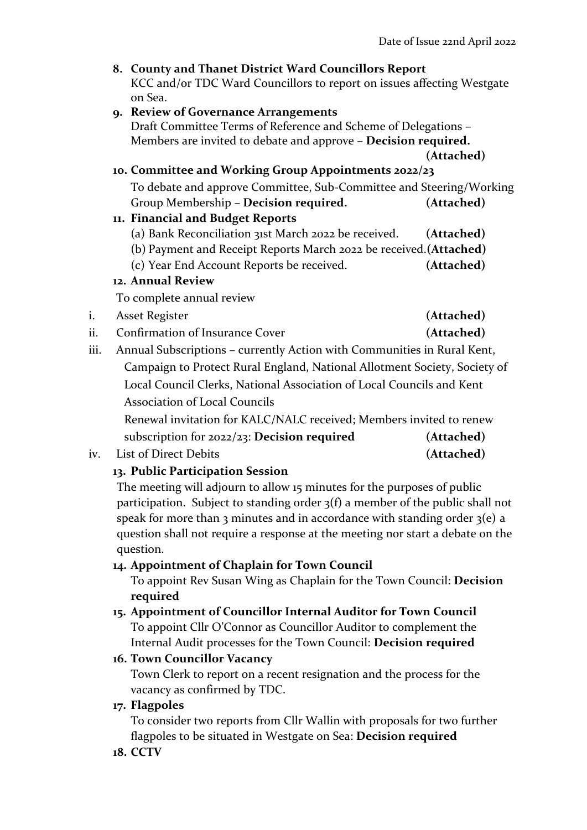|                                                                       | 8. County and Thanet District Ward Councillors Report                                                                                                |            |
|-----------------------------------------------------------------------|------------------------------------------------------------------------------------------------------------------------------------------------------|------------|
|                                                                       | KCC and/or TDC Ward Councillors to report on issues affecting Westgate<br>on Sea.                                                                    |            |
|                                                                       | 9. Review of Governance Arrangements                                                                                                                 |            |
|                                                                       | Draft Committee Terms of Reference and Scheme of Delegations -                                                                                       |            |
|                                                                       | Members are invited to debate and approve - Decision required.                                                                                       |            |
|                                                                       |                                                                                                                                                      | (Attached) |
|                                                                       | 10. Committee and Working Group Appointments 2022/23                                                                                                 |            |
|                                                                       | To debate and approve Committee, Sub-Committee and Steering/Working                                                                                  |            |
|                                                                       | Group Membership - Decision required.                                                                                                                | (Attached) |
|                                                                       | 11. Financial and Budget Reports                                                                                                                     |            |
|                                                                       | (a) Bank Reconciliation 31st March 2022 be received.                                                                                                 | (Attached) |
|                                                                       | (b) Payment and Receipt Reports March 2022 be received. (Attached)                                                                                   |            |
|                                                                       | (c) Year End Account Reports be received.                                                                                                            | (Attached) |
|                                                                       | 12. Annual Review                                                                                                                                    |            |
|                                                                       | To complete annual review                                                                                                                            |            |
| i.                                                                    | <b>Asset Register</b>                                                                                                                                | (Attached) |
| ii.                                                                   | Confirmation of Insurance Cover                                                                                                                      | (Attached) |
| iii.                                                                  | Annual Subscriptions - currently Action with Communities in Rural Kent,<br>Campaign to Protect Rural England, National Allotment Society, Society of |            |
|                                                                       |                                                                                                                                                      |            |
| Local Council Clerks, National Association of Local Councils and Kent |                                                                                                                                                      |            |

Association of Local Councils

Renewal invitation for KALC/NALC received; Members invited to renew

- subscription for 2022/23: **Decision required (Attached)**
- iv. List of Direct Debits **(Attached)**

## **13. Public Participation Session**

The meeting will adjourn to allow 15 minutes for the purposes of public participation. Subject to standing order 3(f) a member of the public shall not speak for more than 3 minutes and in accordance with standing order  $3(e)$  a question shall not require a response at the meeting nor start a debate on the question.

## **14. Appointment of Chaplain for Town Council**

To appoint Rev Susan Wing as Chaplain for the Town Council: **Decision required**

**15. Appointment of Councillor Internal Auditor for Town Council** To appoint Cllr O'Connor as Councillor Auditor to complement the Internal Audit processes for the Town Council: **Decision required**

# **16. Town Councillor Vacancy**

Town Clerk to report on a recent resignation and the process for the vacancy as confirmed by TDC.

# **17. Flagpoles**

To consider two reports from Cllr Wallin with proposals for two further flagpoles to be situated in Westgate on Sea: **Decision required**

**18. CCTV**